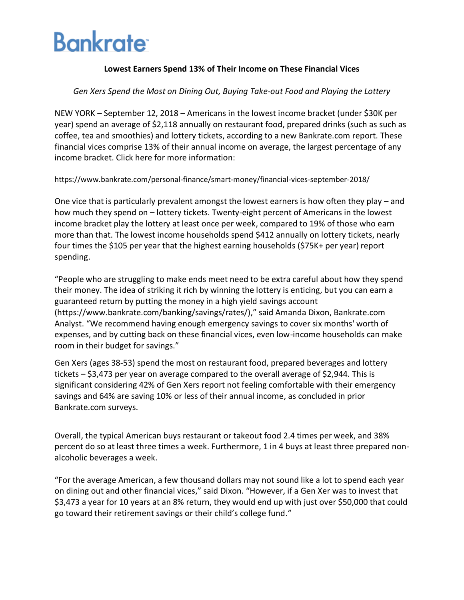# **Bankrate**

## **Lowest Earners Spend 13% of Their Income on These Financial Vices**

### *Gen Xers Spend the Most on Dining Out, Buying Take-out Food and Playing the Lottery*

NEW YORK – September 12, 2018 – Americans in the lowest income bracket (under \$30K per year) spend an average of \$2,118 annually on restaurant food, prepared drinks (such as such as coffee, tea and smoothies) and lottery tickets, according to a new Bankrate.com report. These financial vices comprise 13% of their annual income on average, the largest percentage of any income bracket. Click here for more information:

https://www.bankrate.com/personal-finance/smart-money/financial-vices-september-2018/

One vice that is particularly prevalent amongst the lowest earners is how often they play – and how much they spend on – lottery tickets. Twenty-eight percent of Americans in the lowest income bracket play the lottery at least once per week, compared to 19% of those who earn more than that. The lowest income households spend \$412 annually on lottery tickets, nearly four times the \$105 per year that the highest earning households (\$75K+ per year) report spending.

"People who are struggling to make ends meet need to be extra careful about how they spend their money. The idea of striking it rich by winning the lottery is enticing, but you can earn a guaranteed return by putting the money in a high yield savings account (https://www.bankrate.com/banking/savings/rates/)," said Amanda Dixon, Bankrate.com Analyst. "We recommend having enough emergency savings to cover six months' worth of expenses, and by cutting back on these financial vices, even low-income households can make room in their budget for savings."

Gen Xers (ages 38-53) spend the most on restaurant food, prepared beverages and lottery tickets – \$3,473 per year on average compared to the overall average of \$2,944. This is significant considering 42% of Gen Xers report not feeling comfortable with their emergency savings and 64% are saving 10% or less of their annual income, as concluded in prior Bankrate.com surveys.

Overall, the typical American buys restaurant or takeout food 2.4 times per week, and 38% percent do so at least three times a week. Furthermore, 1 in 4 buys at least three prepared nonalcoholic beverages a week.

"For the average American, a few thousand dollars may not sound like a lot to spend each year on dining out and other financial vices," said Dixon. "However, if a Gen Xer was to invest that \$3,473 a year for 10 years at an 8% return, they would end up with just over \$50,000 that could go toward their retirement savings or their child's college fund."